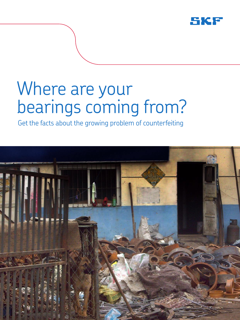

# Where are your bearings coming from?

Get the facts about the growing problem of counterfeiting

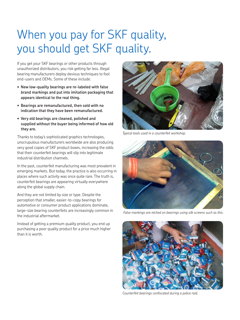### When you pay for SKF quality, you should get SKF quality.

If you get your SKF bearings or other products through unauthorized distributors, you risk getting far less. Illegal bearing manufacturers deploy devious techniques to fool end-users and OEMs. Some of these include:

- **• New low-quality bearings are re-labeled with false brand markings and put into imitation packaging that appears identical to the real thing.**
- **• Bearings are remanufactured, then sold with no indication that they have been remanufactured.**
- **• Very old bearings are cleaned, polished and supplied without the buyer being informed of how old they are.**

Thanks to today's sophisticated graphics technologies, unscrupulous manufacturers worldwide are also producing very good copies of SKF product boxes, increasing the odds that their counterfeit bearings will slip into legitimate industrial distribution channels.

In the past, counterfeit manufacturing was most prevalent in emerging markets. But today, the practice is also occurring in places where such activity was once quite rare. The truth is, counterfeit bearings are appearing virtually everywhere along the global supply chain.

And they are not limited by size or type. Despite the perception that smaller, easier-to-copy bearings for automotive or consumer product applications dominate, large-size bearing counterfeits are increasingly common in the industrial aftermarket.

Instead of getting a premium quality product, you end up purchasing a poor quality product for a price much higher than it is worth.



*Typical tools used in a counterfeit workshop.*



 *False markings are etched on bearings using silk screens such as this.*



*Counterfeit bearings confiscated during a police raid.*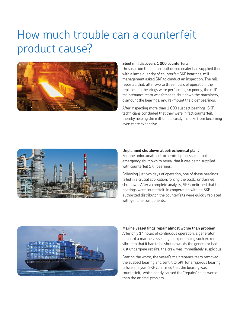### How much trouble can a counterfeit product cause?



### **Steel mill discovers 1 000 counterfeits**

On suspicion that a non-authorized dealer had supplied them with a large quantity of counterfeit SKF bearings, mill management asked SKF to conduct an inspection. The mill reported that, after two to three hours of operation, the replacement bearings were performing so poorly, the mill's maintenance team was forced to shut down the machinery, dismount the bearings, and re-mount the older bearings.

After inspecting more than 1 000 suspect bearings, SKF technicians concluded that they were in fact counterfeit, thereby helping the mill keep a costly mistake from becoming even more expensive.



#### **Unplanned shutdown at petrochemical plant**

For one unfortunate petrochemical processor, it took an emergency shutdown to reveal that it was being supplied with counterfeit SKF bearings.

Following just two days of operation, one of these bearings failed in a crucial application, forcing the costly, unplanned shutdown. After a complete analysis, SKF confirmed that the bearings were counterfeit. In cooperation with an SKF authorized distributor, the counterfeits were quickly replaced with genuine components.



#### **Marine vessel finds repair almost worse than problem**

After only 14 hours of continuous operation, a generator onboard a marine vessel began experiencing such extreme vibration that it had to be shut down. As the generator had just undergone repairs, the crew was immediately suspicious.

Fearing the worst, the vessel's maintenance team removed the suspect bearing and sent it to SKF for a rigorous bearing failure analysis. SKF confirmed that the bearing was counterfeit, which nearly caused the "repairs" to be worse than the original problem.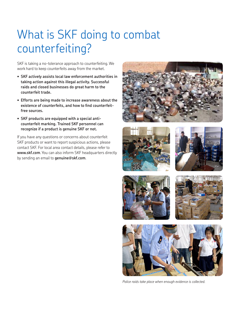## What is SKF doing to combat counterfeiting?

SKF is taking a no-tolerance approach to counterfeiting. We work hard to keep counterfeits away from the market.

- **• SKF actively assists local law enforcement authorities in taking action against this illegal activity. Successful raids and closed businesses do great harm to the counterfeit trade.**
- **• Efforts are being made to increase awareness about the existence of counterfeits, and how to find counterfeitfree sources.**
- **• SKF products are equipped with a special anticounterfeit marking. Trained SKF personnel can recognize if a product is genuine SKF or not.**

If you have any questions or concerns about counterfeit SKF products or want to report suspicious actions, please contact SKF. For local area contact details, please refer to **www.skf.com**. You can also inform SKF headquarters directly by sending an email to **genuine@skf.com**.













*Police raids take place when enough evidence is collected.*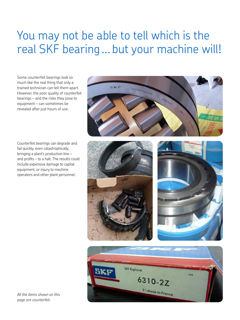### You may not be able to tell which is the real SKF bearing ... but your machine will!

Some counterfeit bearings look so much like the real thing that only a trained technician can tell them apart. However, the poor quality of counterfeit bearings – and the risks they pose to equipment – can sometimes be revealed after just hours of use.

Counterfeit bearings can degrade and fail quickly, even catastrophically, bringing a plant's production line – and profits – to a halt. The results could include expensive damage to capital equipment, or injury to machine operators and other plant personnel.









*All the items shown on this page are counterfeit.*